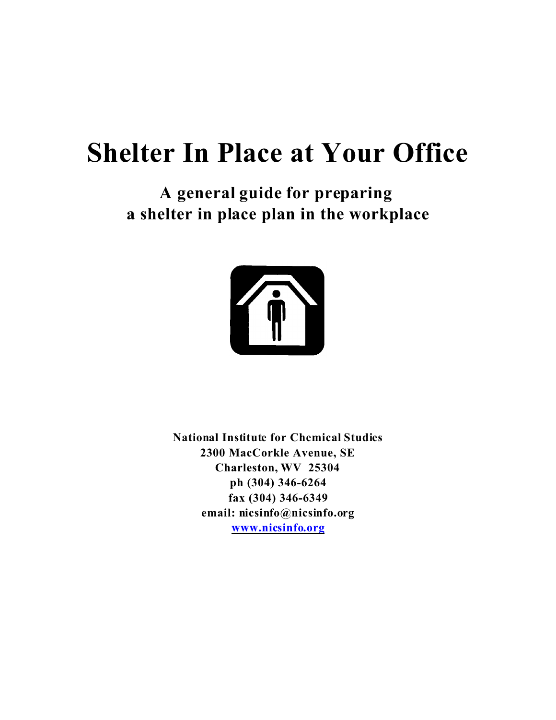# **Shelter In Place at Your Office**

**A general guide for preparing a shelter in place plan in the workplace**



**National Institute for Chemical Studies 2300 MacCorkle Avenue, SE Charleston, WV 25304 ph (304) 346-6264 fax (304) 346-6349 email: nicsinfo@nicsinfo.org www.nicsinfo.org**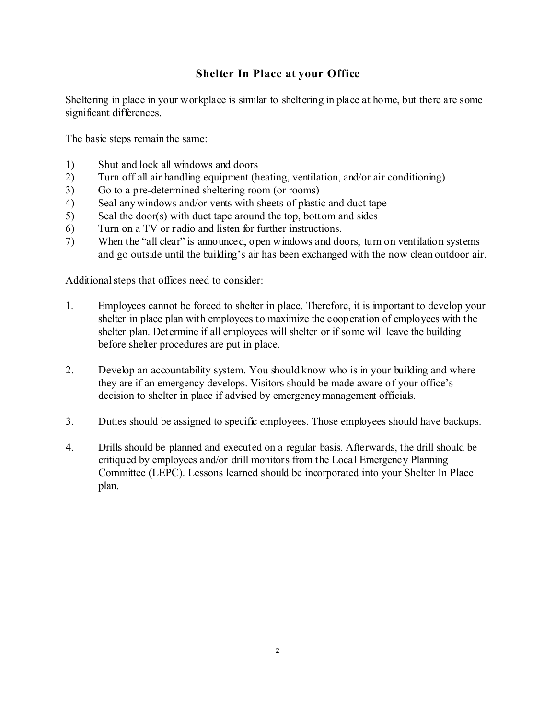### **Shelter In Place at your Office**

Sheltering in place in your workplace is similar to sheltering in place at home, but there are some significant differences.

The basic steps remain the same:

- 1) Shut and lock all windows and doors
- 2) Turn off all air handling equipment (heating, ventilation, and/or air conditioning)
- 3) Go to a pre-determined sheltering room (or rooms)
- 4) Seal any windows and/or vents with sheets of plastic and duct tape
- 5) Seal the door(s) with duct tape around the top, bottom and sides
- 6) Turn on a TV or radio and listen for further instructions.
- 7) When the "all clear" is announced, open windows and doors, turn on ventilation systems and go outside until the building's air has been exchanged with the now clean outdoor air.

Additional steps that offices need to consider:

- 1. Employees cannot be forced to shelter in place. Therefore, it is important to develop your shelter in place plan with employees to maximize the cooperation of employees with the shelter plan. Determine if all employees will shelter or if some will leave the building before shelter procedures are put in place.
- 2. Develop an accountability system. You should know who is in your building and where they are if an emergency develops. Visitors should be made aware of your office's decision to shelter in place if advised by emergency management officials.
- 3. Duties should be assigned to specific employees. Those employees should have backups.
- 4. Drills should be planned and executed on a regular basis. Afterwards, the drill should be critiqued by employees and/or drill monitors from the Local Emergency Planning Committee (LEPC). Lessons learned should be incorporated into your Shelter In Place plan.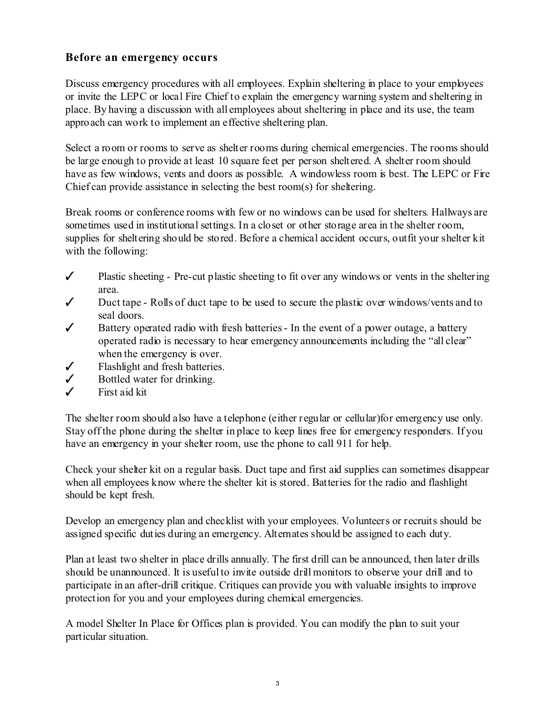### **Before an emergency occurs**

Discuss emergency procedures with all employees. Explain sheltering in place to your employees or invite the LEPC or local Fire Chief to explain the emergency warning system and sheltering in place. By having a discussion with all employees about sheltering in place and its use, the team approach can work to implement an effective sheltering plan.

Select a room or rooms to serve as shelter rooms during chemical emergencies. The rooms should be large enough to provide at least 10 square feet per person sheltered. A shelter room should have as few windows, vents and doors as possible. A windowless room is best. The LEPC or Fire Chief can provide assistance in selecting the best room(s) for sheltering.

Break rooms or conference rooms with few or no windows can be used for shelters. Hallways are sometimes used in institutional settings. In a closet or other storage area in the shelter room, supplies for sheltering should be stored. Before a chemical accident occurs, outfit your shelter kit with the following:

- $\checkmark$  Plastic sheeting Pre-cut plastic sheeting to fit over any windows or vents in the sheltering area.
- $\checkmark$  Duct tape Rolls of duct tape to be used to secure the plastic over windows/vents and to seal doors.
- $\checkmark$  Battery operated radio with fresh batteries In the event of a power outage, a battery operated radio is necessary to hear emergency announcements including the "all clear" when the emergency is over.
- $\checkmark$  Flashlight and fresh batteries.
- $\checkmark$  Bottled water for drinking.
- $\checkmark$  First aid kit

The shelter room should also have a telephone (either regular or cellular)for emergency use only. Stay off the phone during the shelter in place to keep lines free for emergency responders. If you have an emergency in your shelter room, use the phone to call 911 for help.

Check your shelter kit on a regular basis. Duct tape and first aid supplies can sometimes disappear when all employees know where the shelter kit is stored. Batteries for the radio and flashlight should be kept fresh.

Develop an emergency plan and checklist with your employees. Volunteers or recruits should be assigned specific duties during an emergency. Alternates should be assigned to each duty.

Plan at least two shelter in place drills annually. The first drill can be announced, then later drills should be unannounced. It is useful to invite outside drill monitors to observe your drill and to participate in an after-drill critique. Critiques can provide you with valuable insights to improve protection for you and your employees during chemical emergencies.

A model Shelter In Place for Offices plan is provided. You can modify the plan to suit your particular situation.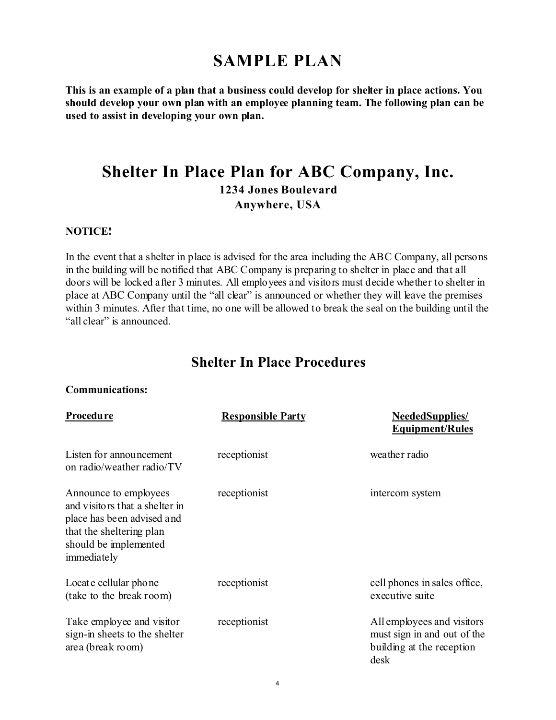# **SAMPLE PLAN**

**This is an example of a plan that a business could develop for shelter in place actions. You should develop your own plan with an employee planning team. The following plan can be used to assist in developing your own plan.** 

# **Shelter In Place Plan for ABC Company, Inc. 1234 Jones Boulevard Anywhere, USA**

### **NOTICE!**

In the event that a shelter in place is advised for the area including the ABC Company, all persons in the building will be notified that ABC Company is preparing to shelter in place and that all doors will be locked after 3 minutes. All employees and visitors must decide whether to shelter in place at ABC Company until the "all clear" is announced or whether they will leave the premises within 3 minutes. After that time, no one will be allowed to break the seal on the building until the "all clear" is announced.

## **Shelter In Place Procedures**

#### **Communications:**

| Procedu re                                                                                                                                                | <b>Responsible Party</b> | <b>NeededSupplies/</b><br><b>Equipment/Rules</b>                                               |
|-----------------------------------------------------------------------------------------------------------------------------------------------------------|--------------------------|------------------------------------------------------------------------------------------------|
| Listen for announcement<br>on radio/weather radio/TV                                                                                                      | receptionist             | weather radio                                                                                  |
| Announce to employees<br>and visitors that a shelter in<br>place has been advised and<br>that the sheltering plan<br>should be implemented<br>immediately | receptionist             | intercom system                                                                                |
| Locate cellular phone<br>(take to the break room)                                                                                                         | receptionist             | cell phones in sales office,<br>executive suite                                                |
| Take employee and visitor<br>sign-in sheets to the shelter<br>area (break room)                                                                           | receptionist             | All employees and visitors<br>must sign in and out of the<br>building at the reception<br>desk |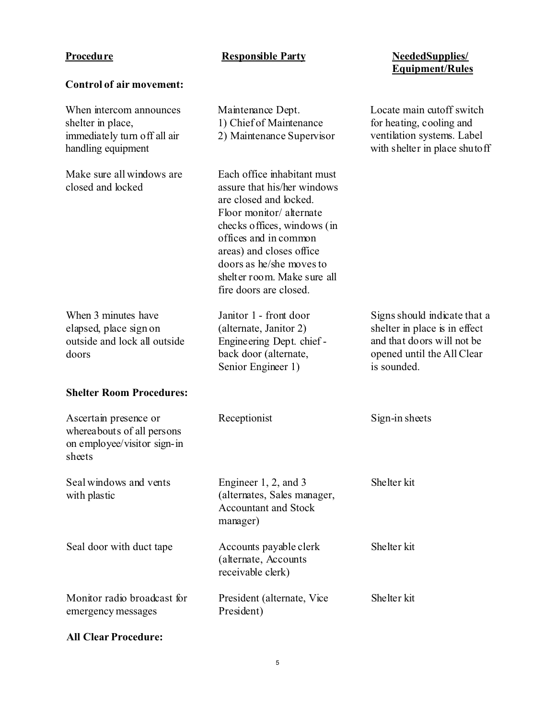**Control of air movement:**

### **Procedure Responsible Party**

# **Equipment/Rules**

| When intercom announces<br>shelter in place,<br>immediately turn off all air<br>handling equipment | Maintenance Dept.<br>1) Chief of Maintenance<br>2) Maintenance Supervisor                                                                                                                                                                                                                | Locate main cutoff switch<br>for heating, cooling and<br>ventilation systems. Label<br>with shelter in place shutoff                      |
|----------------------------------------------------------------------------------------------------|------------------------------------------------------------------------------------------------------------------------------------------------------------------------------------------------------------------------------------------------------------------------------------------|-------------------------------------------------------------------------------------------------------------------------------------------|
| Make sure all windows are<br>closed and locked                                                     | Each office inhabitant must<br>assure that his/her windows<br>are closed and locked.<br>Floor monitor/alternate<br>checks offices, windows (in<br>offices and in common<br>areas) and closes office<br>doors as he/she moves to<br>shelter room. Make sure all<br>fire doors are closed. |                                                                                                                                           |
| When 3 minutes have<br>elapsed, place sign on<br>outside and lock all outside<br>doors             | Janitor 1 - front door<br>(alternate, Janitor 2)<br>Engineering Dept. chief -<br>back door (alternate,<br>Senior Engineer 1)                                                                                                                                                             | Signs should indicate that a<br>shelter in place is in effect<br>and that do ors will not be<br>opened until the All Clear<br>is sounded. |
| <b>Shelter Room Procedures:</b>                                                                    |                                                                                                                                                                                                                                                                                          |                                                                                                                                           |
| Ascertain presence or<br>whereabouts of all persons<br>on employee/visitor sign-in<br>sheets       | Receptionist                                                                                                                                                                                                                                                                             | Sign-in sheets                                                                                                                            |
| Seal windows and vents<br>with plastic                                                             | Engineer 1, 2, and 3<br>(alternates, Sales manager,<br><b>Accountant and Stock</b><br>manager)                                                                                                                                                                                           | Shelter kit                                                                                                                               |
| Seal door with duct tape                                                                           | Accounts payable clerk<br>(alternate, Accounts<br>receivable clerk)                                                                                                                                                                                                                      | Shelter kit                                                                                                                               |
| Monitor radio broadcast for<br>emergency messages                                                  | President (alternate, Vice)<br>President)                                                                                                                                                                                                                                                | Shelter kit                                                                                                                               |

### **All Clear Procedure:**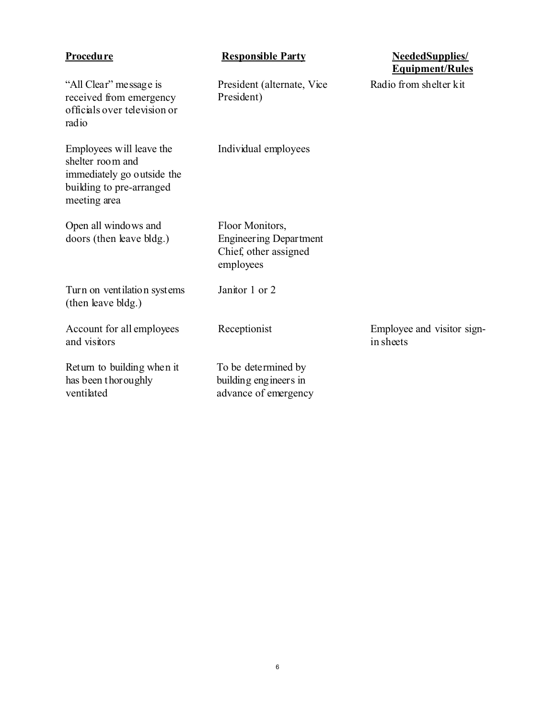| Procedure                                                                                                              | <b>Responsible Party</b>                                                               | <b>NeededSupplies/</b><br><b>Equipment/Rules</b> |
|------------------------------------------------------------------------------------------------------------------------|----------------------------------------------------------------------------------------|--------------------------------------------------|
| "All Clear" message is<br>received from emergency<br>officials over television or<br>radio                             | President (alternate, Vice<br>President)                                               | Radio from shelter kit                           |
| Employees will leave the<br>shelter room and<br>immediately go outside the<br>building to pre-arranged<br>meeting area | Individual employees                                                                   |                                                  |
| Open all windows and<br>doors (then leave bldg.)                                                                       | Floor Monitors,<br><b>Engineering Department</b><br>Chief, other assigned<br>employees |                                                  |
| Turn on ventilation systems<br>(then leave bldg.)                                                                      | Janitor 1 or 2                                                                         |                                                  |
| Account for all employees<br>and visitors                                                                              | Receptionist                                                                           | Employee and visitor sign-<br>in sheets          |
| Return to building when it<br>has been thoroughly<br>ventilated                                                        | To be determined by<br>building engineers in<br>advance of emergency                   |                                                  |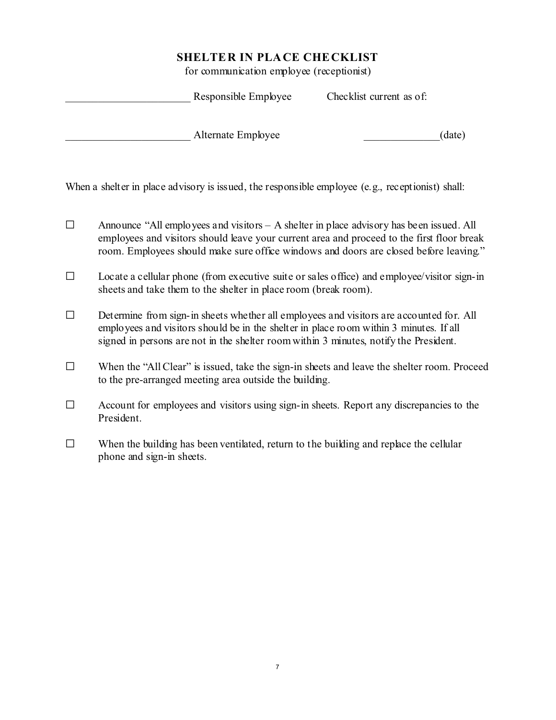for communication employee (receptionist)

| Responsible Employee | Checklist current as of: |        |
|----------------------|--------------------------|--------|
| Alternate Employee   |                          | (date) |

When a shelter in place advisory is issued, the responsible employee (e.g., receptionist) shall:

- $\Box$  Announce "All employees and visitors A shelter in place advisory has been issued. All employees and visitors should leave your current area and proceed to the first floor break room. Employees should make sure office windows and doors are closed before leaving."
- $\Box$  Locate a cellular phone (from executive suite or sales office) and employee/visitor sign-in sheets and take them to the shelter in place room (break room).
- $\Box$  Determine from sign-in sheets whether all employees and visitors are accounted for. All employees and visitors should be in the shelter in place room within 3 minutes. If all signed in persons are not in the shelter room within 3 minutes, notify the President.
- $\square$  When the "All Clear" is issued, take the sign-in sheets and leave the shelter room. Proceed to the pre-arranged meeting area outside the building.
- $\Box$  Account for employees and visitors using sign-in sheets. Report any discrepancies to the President.
- $\Box$  When the building has been ventilated, return to the building and replace the cellular phone and sign-in sheets.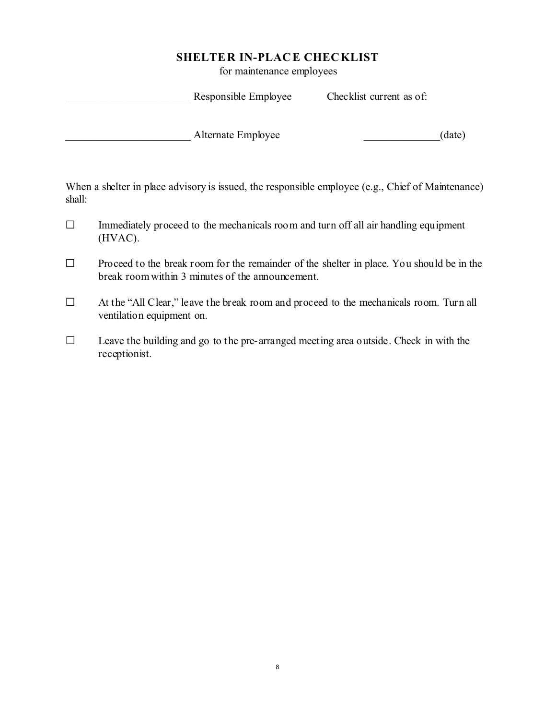for maintenance employees

| Responsible Employee | Checklist current as of: |        |
|----------------------|--------------------------|--------|
| Alternate Employee   |                          | (date) |

When a shelter in place advisory is issued, the responsible employee (e.g., Chief of Maintenance) shall:

- $\Box$  Immediately proceed to the mechanicals room and turn off all air handling equipment (HVAC).
- $\Box$  Proceed to the break room for the remainder of the shelter in place. You should be in the break room within 3 minutes of the announcement.
- G At the "All Clear," leave the break room and proceed to the mechanicals room. Turn all ventilation equipment on.
- $\Box$  Leave the building and go to the pre-arranged meeting area outside. Check in with the receptionist.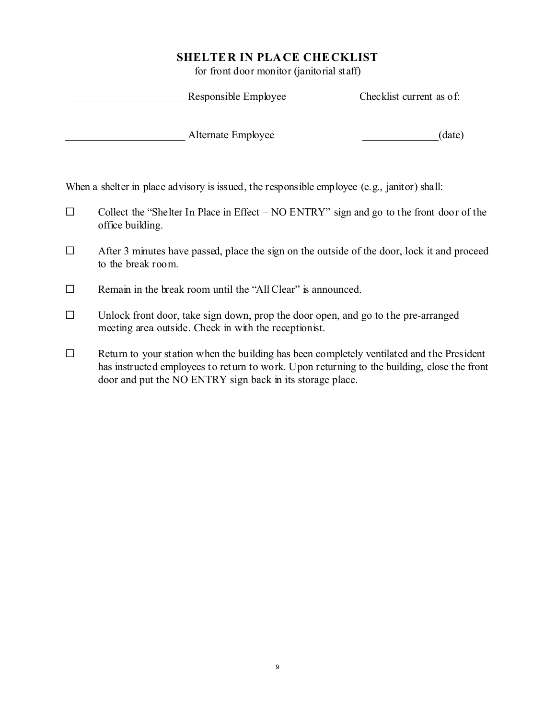for front door monitor (janitorial staff)

| Responsible Employee                                                                        | Checklist current as of: |
|---------------------------------------------------------------------------------------------|--------------------------|
| Alternate Employee                                                                          | (date)                   |
| When a shelter in place advisory is issued, the responsible employee (e.g., janitor) shall: |                          |
| Collect the "Shelter In Place in Effect $- NO ENTRY$ " sign and go to the front door of the |                          |

- office building.
- $\Box$  After 3 minutes have passed, place the sign on the outside of the door, lock it and proceed to the break room.
- $\Box$  Remain in the break room until the "All Clear" is announced.
- $\Box$  Unlock front door, take sign down, prop the door open, and go to the pre-arranged meeting area outside. Check in with the receptionist.
- $\Box$  Return to your station when the building has been completely ventilated and the President has instructed employees to return to work. Upon returning to the building, close the front door and put the NO ENTRY sign back in its storage place.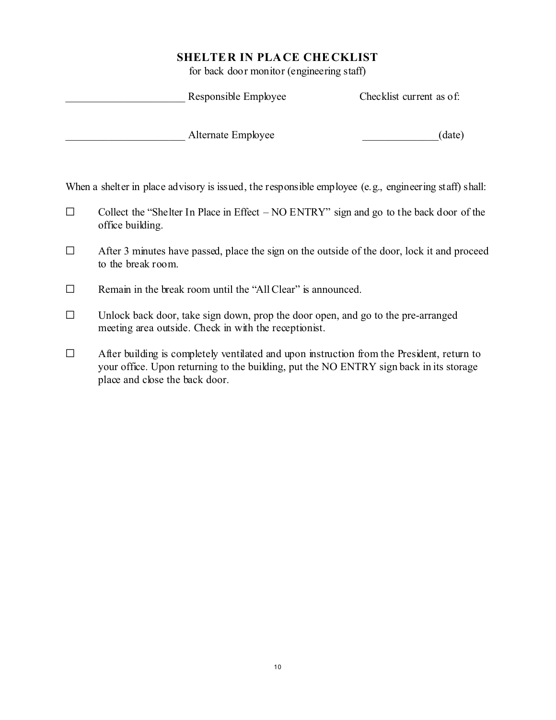for back door monitor (engineering staff)

| Responsible Employee                                                                                  | Checklist current as of: |
|-------------------------------------------------------------------------------------------------------|--------------------------|
| Alternate Employee                                                                                    | (date)                   |
| When a shelter in place advisory is issued, the responsible employee (e.g., engineering staff) shall: |                          |

 $\Box$  Collect the "Shelter In Place in Effect – NO ENTRY" sign and go to the back door of the office building.

- $\Box$  After 3 minutes have passed, place the sign on the outside of the door, lock it and proceed to the break room.
- $\Box$  Remain in the break room until the "All Clear" is announced.
- $\Box$  Unlock back door, take sign down, prop the door open, and go to the pre-arranged meeting area outside. Check in with the receptionist.
- $\Box$  After building is completely ventilated and upon instruction from the President, return to your office. Upon returning to the building, put the NO ENTRY sign back in its storage place and close the back door.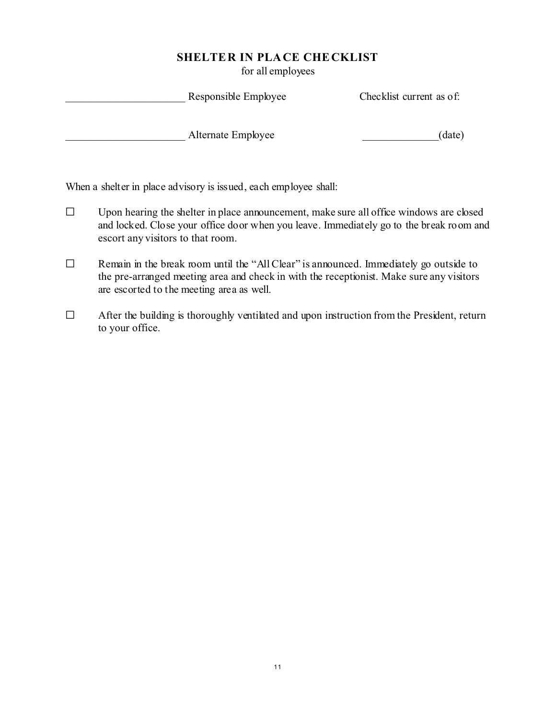for all employees

| Responsible Employee | Checklist current as of: |
|----------------------|--------------------------|
| Alternate Employee   | (date)                   |

When a shelter in place advisory is issued, each employee shall:

- $\Box$  Upon hearing the shelter in place announcement, make sure all office windows are closed and locked. Close your office door when you leave. Immediately go to the break room and escort any visitors to that room.
- $\Box$  Remain in the break room until the "All Clear" is announced. Immediately go outside to the pre-arranged meeting area and check in with the receptionist. Make sure any visitors are escorted to the meeting area as well.
- $\Box$  After the building is thoroughly ventilated and upon instruction from the President, return to your office.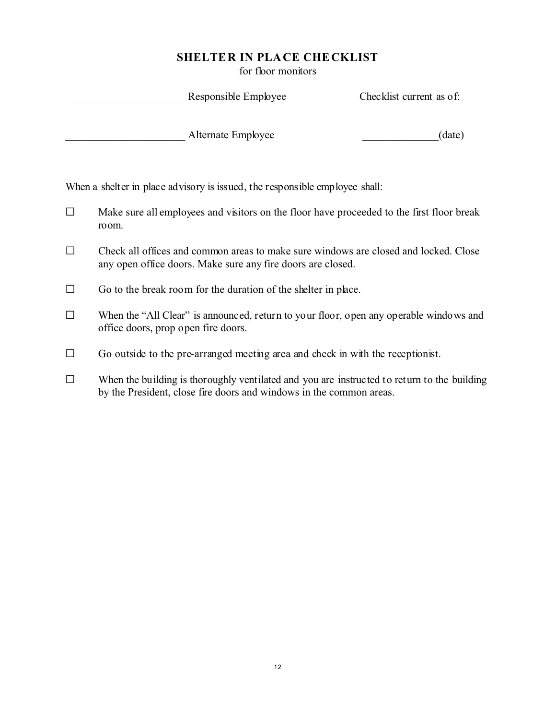for floor monitors

|        |                                     | Responsible Employee                                                                                                                                               | Checklist current as of: |
|--------|-------------------------------------|--------------------------------------------------------------------------------------------------------------------------------------------------------------------|--------------------------|
|        |                                     | Alternate Employee                                                                                                                                                 | (date)                   |
|        |                                     | When a shelter in place advisory is issued, the responsible employee shall:                                                                                        |                          |
| $\Box$ | room.                               | Make sure all employees and visitors on the floor have proceeded to the first floor break                                                                          |                          |
| $\Box$ |                                     | Check all offices and common areas to make sure windows are closed and locked. Close<br>any open office doors. Make sure any fire doors are closed.                |                          |
| $\Box$ |                                     | Go to the break room for the duration of the shelter in place.                                                                                                     |                          |
| $\Box$ | office doors, prop open fire doors. | When the "All Clear" is announced, return to your floor, open any operable windows and                                                                             |                          |
| $\Box$ |                                     | Go outside to the pre-arranged meeting area and check in with the receptionist.                                                                                    |                          |
| $\Box$ |                                     | When the building is thoroughly ventilated and you are instructed to return to the building<br>by the President, close fire doors and windows in the common areas. |                          |
|        |                                     |                                                                                                                                                                    |                          |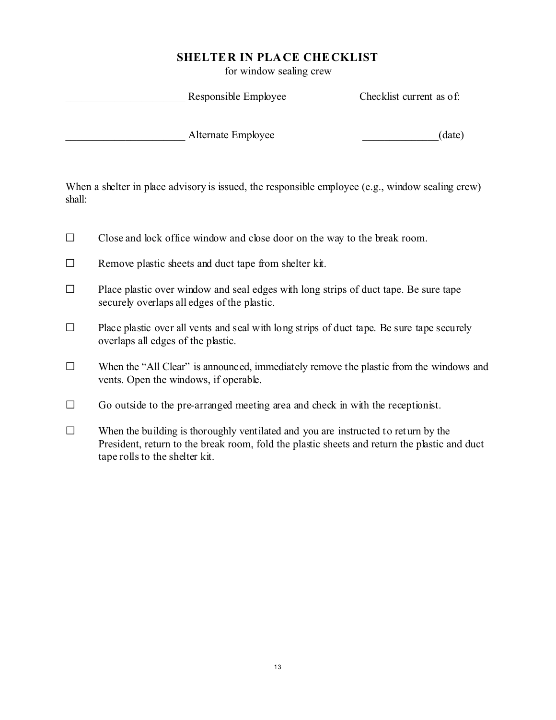for window sealing crew

| Responsible Employee | Checklist current as of: |
|----------------------|--------------------------|
| Alternate Employee   | (date)                   |
|                      |                          |

When a shelter in place advisory is issued, the responsible employee (e.g., window sealing crew) shall:

- $\Box$  Close and lock office window and close door on the way to the break room.
- $\Box$  Remove plastic sheets and duct tape from shelter kit.
- $\Box$  Place plastic over window and seal edges with long strips of duct tape. Be sure tape securely overlaps all edges of the plastic.
- $\Box$  Place plastic over all vents and seal with long strips of duct tape. Be sure tape securely overlaps all edges of the plastic.
- $\Box$  When the "All Clear" is announced, immediately remove the plastic from the windows and vents. Open the windows, if operable.
- $\Box$  Go outside to the pre-arranged meeting area and check in with the receptionist.
- $\Box$  When the building is thoroughly ventilated and you are instructed to return by the President, return to the break room, fold the plastic sheets and return the plastic and duct tape rolls to the shelter kit.